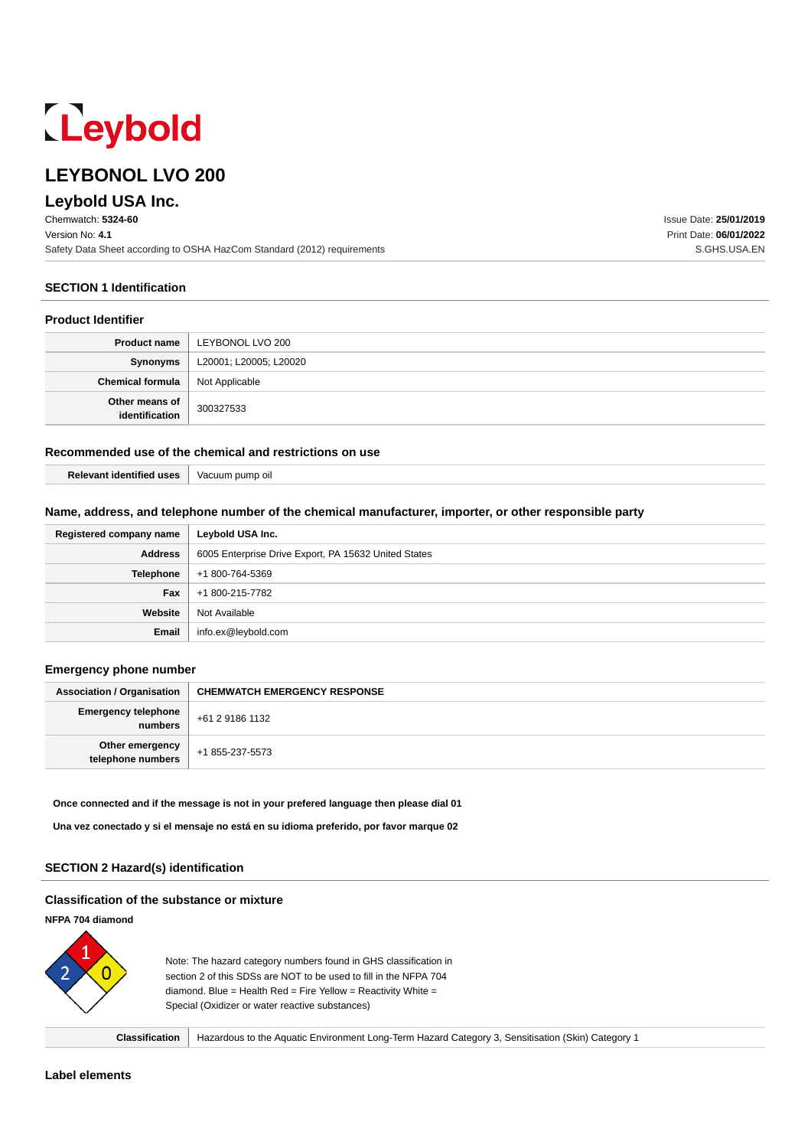# Leybold

# **LEYBONOL LVO 200**

# **Leybold USA Inc.**

Chemwatch: **5324-60** Version No: **4.1** Safety Data Sheet according to OSHA HazCom Standard (2012) requirements

**SECTION 1 Identification**

#### **Product Identifier**

|                                          | <b>Product name   LEYBONOL LVO 200</b> |
|------------------------------------------|----------------------------------------|
| Synonyms                                 | L20001; L20005; L20020                 |
| <b>Chemical formula</b>   Not Applicable |                                        |
| Other means of<br>identification         | 300327533                              |

#### **Recommended use of the chemical and restrictions on use**

| <b>Relevant identified uses</b> | Vacuum pump oil |
|---------------------------------|-----------------|

#### **Name, address, and telephone number of the chemical manufacturer, importer, or other responsible party**

| Registered company name | Leybold USA Inc.                                     |  |
|-------------------------|------------------------------------------------------|--|
| <b>Address</b>          | 6005 Enterprise Drive Export, PA 15632 United States |  |
| Telephone               | +1 800-764-5369                                      |  |
| Fax                     | +1 800-215-7782                                      |  |
| Website                 | Not Available                                        |  |
| Email                   | info.ex@leybold.com                                  |  |

#### **Emergency phone number**

| <b>Association / Organisation</b>     | <b>CHEMWATCH EMERGENCY RESPONSE</b> |
|---------------------------------------|-------------------------------------|
| <b>Emergency telephone</b><br>numbers | +61 2 9186 1132                     |
| Other emergency<br>telephone numbers  | +1 855-237-5573                     |

#### **Once connected and if the message is not in your prefered language then please dial 01**

**Una vez conectado y si el mensaje no está en su idioma preferido, por favor marque 02**

#### **SECTION 2 Hazard(s) identification**

#### **Classification of the substance or mixture**

## **NFPA 704 diamond**



Note: The hazard category numbers found in GHS classification in section 2 of this SDSs are NOT to be used to fill in the NFPA 704 diamond. Blue = Health Red = Fire Yellow = Reactivity White = Special (Oxidizer or water reactive substances)

**Classification** Hazardous to the Aquatic Environment Long-Term Hazard Category 3, Sensitisation (Skin) Category 1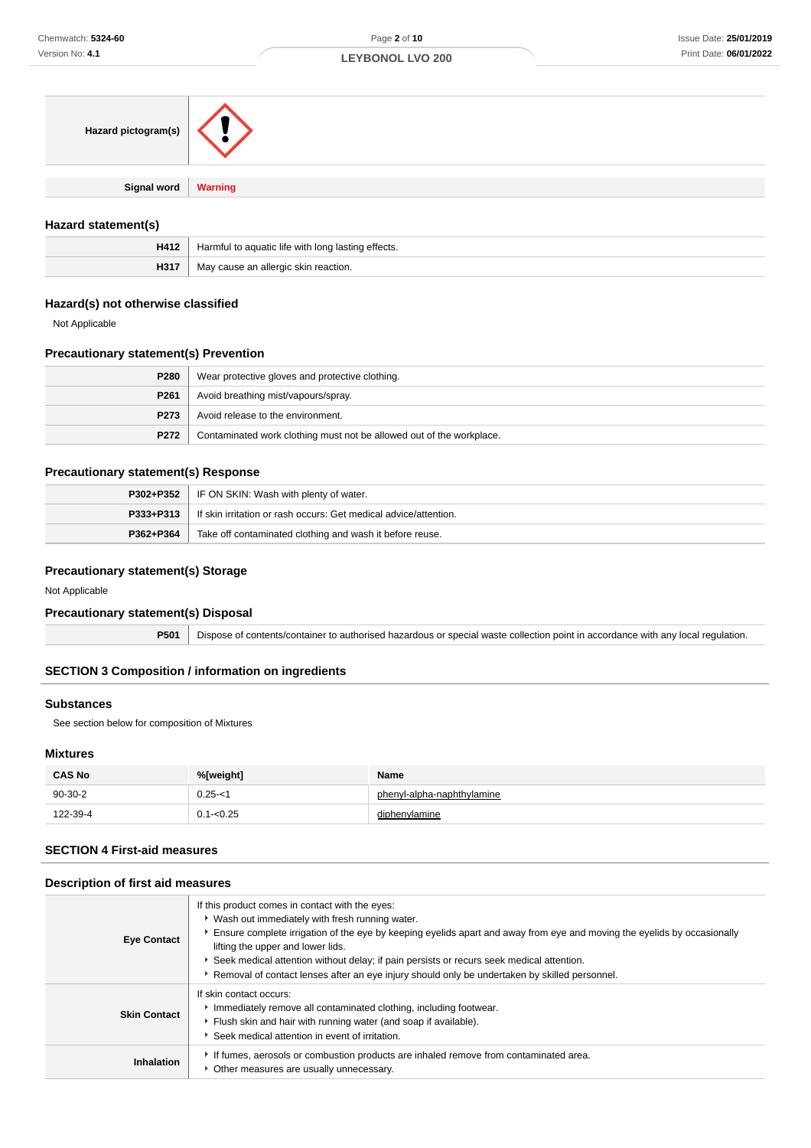| Hazard pictogram(s)   |  |
|-----------------------|--|
| Signal word   Warning |  |
|                       |  |

#### **Hazard statement(s)**

| H412 | Harmful to aquatic life with long lasting effects. |
|------|----------------------------------------------------|
| H317 | cause an allergic skin reaction.<br>ivid'          |

## **Hazard(s) not otherwise classified**

Not Applicable

## **Precautionary statement(s) Prevention**

| P280             | Wear protective gloves and protective clothing.                      |
|------------------|----------------------------------------------------------------------|
| P <sub>261</sub> | Avoid breathing mist/vapours/spray.                                  |
| <b>P273</b>      | Avoid release to the environment.                                    |
| P272             | Contaminated work clothing must not be allowed out of the workplace. |

## **Precautionary statement(s) Response**

|           | <b>P302+P352</b>   IF ON SKIN: Wash with plenty of water.                           |
|-----------|-------------------------------------------------------------------------------------|
|           | <b>P333+P313</b>   If skin irritation or rash occurs: Get medical advice/attention. |
| P362+P364 | Take off contaminated clothing and wash it before reuse.                            |

## **Precautionary statement(s) Storage**

Not Applicable

## **Precautionary statement(s) Disposal**

**P501** Dispose of contents/container to authorised hazardous or special waste collection point in accordance with any local regulation.

## **SECTION 3 Composition / information on ingredients**

#### **Substances**

See section below for composition of Mixtures

## **Mixtures**

| <b>CAS No</b> | %[weight]    | Name                       |
|---------------|--------------|----------------------------|
| $90-30-2$     | $0.25 - <$   | phenyl-alpha-naphthylamine |
| 122-39-4      | $0.1 - 0.25$ | diphenylamine              |

## **SECTION 4 First-aid measures**

#### **Description of first aid measures**

| <b>Eye Contact</b>  | If this product comes in contact with the eyes:<br>* Wash out immediately with fresh running water.<br>Ensure complete irrigation of the eye by keeping eyelids apart and away from eye and moving the eyelids by occasionally<br>lifting the upper and lower lids.<br>Seek medical attention without delay; if pain persists or recurs seek medical attention.<br>Removal of contact lenses after an eye injury should only be undertaken by skilled personnel. |
|---------------------|------------------------------------------------------------------------------------------------------------------------------------------------------------------------------------------------------------------------------------------------------------------------------------------------------------------------------------------------------------------------------------------------------------------------------------------------------------------|
| <b>Skin Contact</b> | If skin contact occurs:<br>Immediately remove all contaminated clothing, including footwear.<br>Flush skin and hair with running water (and soap if available).<br>Seek medical attention in event of irritation.                                                                                                                                                                                                                                                |
| Inhalation          | If fumes, aerosols or combustion products are inhaled remove from contaminated area.<br>Other measures are usually unnecessary.                                                                                                                                                                                                                                                                                                                                  |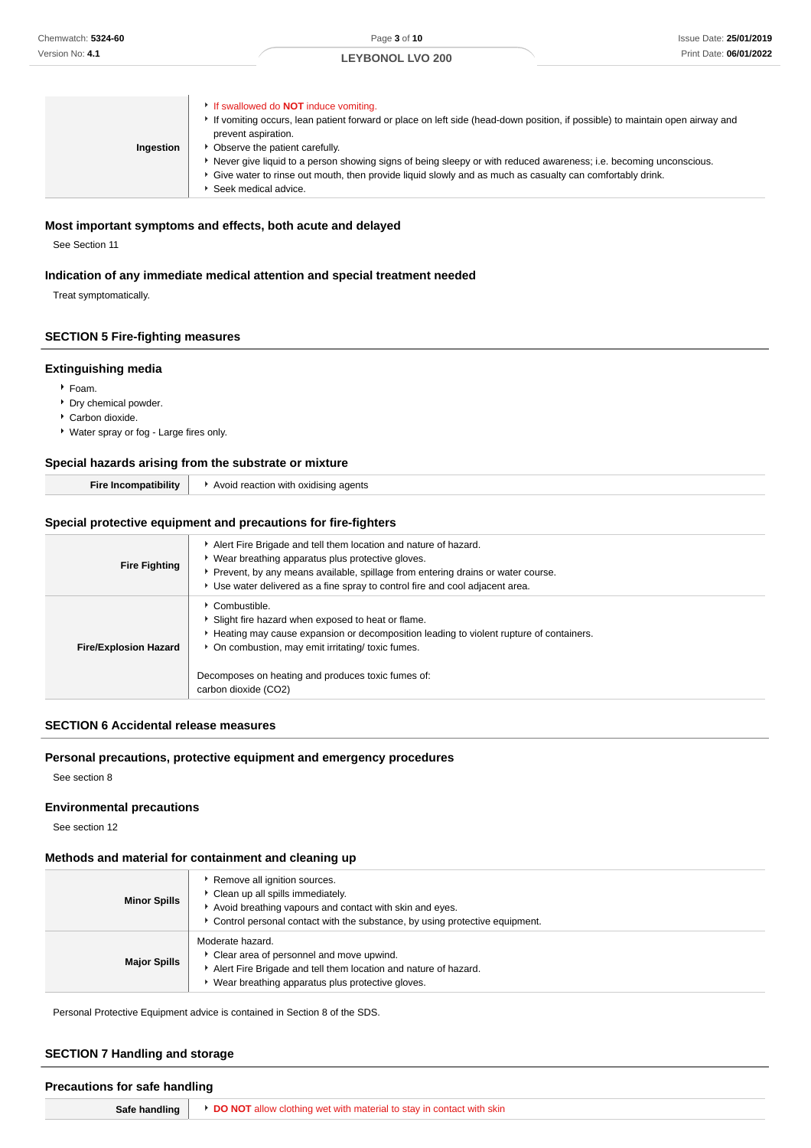|           | If swallowed do <b>NOT</b> induce vomiting.<br>If vomiting occurs, lean patient forward or place on left side (head-down position, if possible) to maintain open airway and<br>prevent aspiration. |
|-----------|----------------------------------------------------------------------------------------------------------------------------------------------------------------------------------------------------|
| Ingestion | Observe the patient carefully.                                                                                                                                                                     |
|           | Never give liquid to a person showing signs of being sleepy or with reduced awareness; i.e. becoming unconscious.                                                                                  |
|           | Give water to rinse out mouth, then provide liquid slowly and as much as casualty can comfortably drink.                                                                                           |
|           | Seek medical advice.                                                                                                                                                                               |

#### **Most important symptoms and effects, both acute and delayed**

See Section 11

## **Indication of any immediate medical attention and special treatment needed**

Treat symptomatically.

## **SECTION 5 Fire-fighting measures**

#### **Extinguishing media**

- $F$ Foam.
- **Dry chemical powder.**
- Carbon dioxide.
- Water spray or fog Large fires only.

#### **Special hazards arising from the substrate or mixture**

| <br>oatibilitv<br>⊢ır<br>∴omr'<br>ாட | Avoid reaction with<br>oxidising agents |
|--------------------------------------|-----------------------------------------|
|--------------------------------------|-----------------------------------------|

## **Special protective equipment and precautions for fire-fighters**

| <b>Fire Fighting</b>         | Alert Fire Brigade and tell them location and nature of hazard.<br>* Wear breathing apparatus plus protective gloves.<br>Prevent, by any means available, spillage from entering drains or water course.<br>► Use water delivered as a fine spray to control fire and cool adjacent area.       |
|------------------------------|-------------------------------------------------------------------------------------------------------------------------------------------------------------------------------------------------------------------------------------------------------------------------------------------------|
| <b>Fire/Explosion Hazard</b> | Combustible.<br>Slight fire hazard when exposed to heat or flame.<br>Heating may cause expansion or decomposition leading to violent rupture of containers.<br>* On combustion, may emit irritating/ toxic fumes.<br>Decomposes on heating and produces toxic fumes of:<br>carbon dioxide (CO2) |

## **SECTION 6 Accidental release measures**

## **Personal precautions, protective equipment and emergency procedures**

See section 8

#### **Environmental precautions**

See section 12

#### **Methods and material for containment and cleaning up**

| <b>Minor Spills</b> | Remove all ignition sources.<br>Clean up all spills immediately.<br>Avoid breathing vapours and contact with skin and eves.<br>Control personal contact with the substance, by using protective equipment. |
|---------------------|------------------------------------------------------------------------------------------------------------------------------------------------------------------------------------------------------------|
| <b>Major Spills</b> | Moderate hazard.<br>Clear area of personnel and move upwind.<br>Alert Fire Brigade and tell them location and nature of hazard.<br>Wear breathing apparatus plus protective gloves.                        |

Personal Protective Equipment advice is contained in Section 8 of the SDS.

#### **SECTION 7 Handling and storage**

# **Precautions for safe handling Safe handling <b>DO NOT** allow clothing wet with material to stay in contact with skin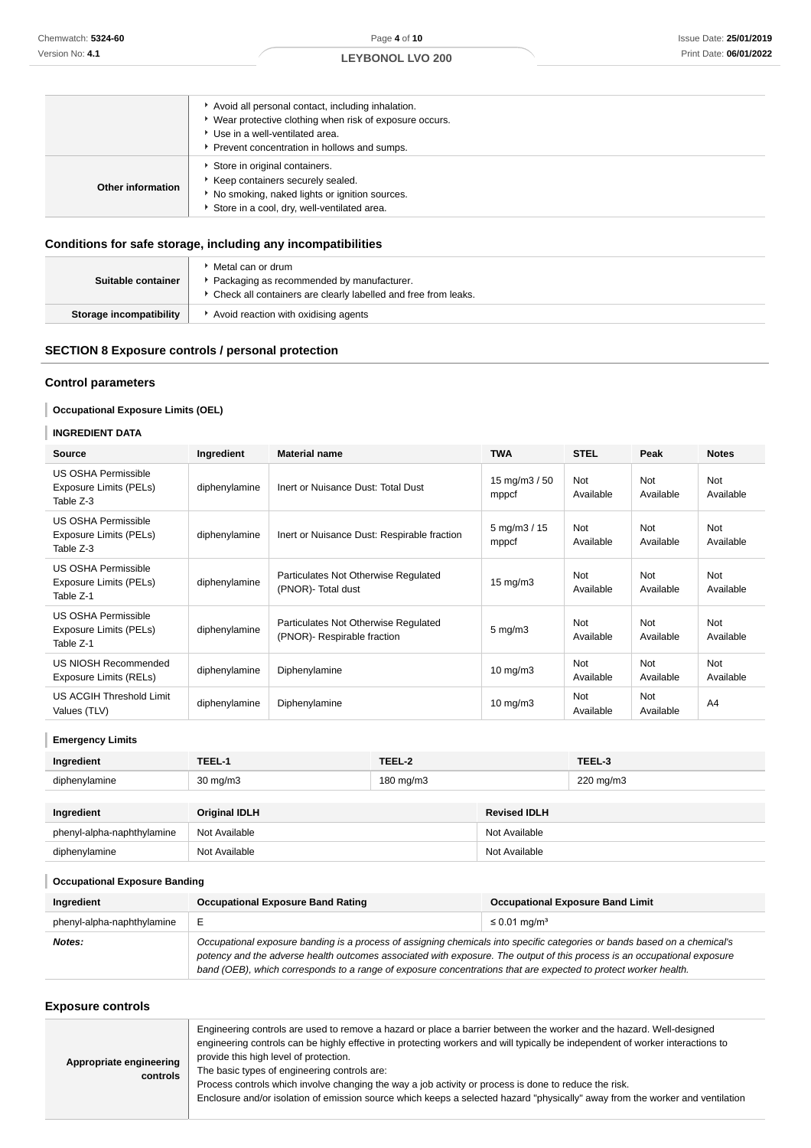|                   | Avoid all personal contact, including inhalation.<br>• Wear protective clothing when risk of exposure occurs.                                                     |
|-------------------|-------------------------------------------------------------------------------------------------------------------------------------------------------------------|
|                   | ▶ Use in a well-ventilated area.<br>Prevent concentration in hollows and sumps.                                                                                   |
| Other information | Store in original containers.<br>Keep containers securely sealed.<br>No smoking, naked lights or ignition sources.<br>Store in a cool, dry, well-ventilated area. |

## **Conditions for safe storage, including any incompatibilities**

| Suitable container      | Metal can or drum<br>Packaging as recommended by manufacturer.<br>Check all containers are clearly labelled and free from leaks. |
|-------------------------|----------------------------------------------------------------------------------------------------------------------------------|
| Storage incompatibility | Avoid reaction with oxidising agents                                                                                             |

## **SECTION 8 Exposure controls / personal protection**

## **Control parameters**

## **Occupational Exposure Limits (OEL)**

## **INGREDIENT DATA**

| <b>Source</b>                                                     | Ingredient    | <b>Material name</b>                                                | <b>TWA</b>                            | <b>STEL</b>      | Peak                    | <b>Notes</b>            |
|-------------------------------------------------------------------|---------------|---------------------------------------------------------------------|---------------------------------------|------------------|-------------------------|-------------------------|
| <b>US OSHA Permissible</b><br>Exposure Limits (PELs)<br>Table Z-3 | diphenylamine | Inert or Nuisance Dust: Total Dust                                  | 15 mg/m $3/50$<br>mppcf               | Not<br>Available | Not<br>Available        | Not<br>Available        |
| <b>US OSHA Permissible</b><br>Exposure Limits (PELs)<br>Table Z-3 | diphenylamine | Inert or Nuisance Dust: Respirable fraction                         | $5 \,\mathrm{mg/m}$ $3 / 15$<br>mppcf | Not<br>Available | Not<br>Available        | Not<br>Available        |
| <b>US OSHA Permissible</b><br>Exposure Limits (PELs)<br>Table Z-1 | diphenylamine | Particulates Not Otherwise Regulated<br>(PNOR) - Total dust         | $15 \text{ mg/m}$                     | Not<br>Available | Not<br>Available        | <b>Not</b><br>Available |
| <b>US OSHA Permissible</b><br>Exposure Limits (PELs)<br>Table Z-1 | diphenylamine | Particulates Not Otherwise Regulated<br>(PNOR)- Respirable fraction | $5 \text{ mg/m}$ 3                    | Not<br>Available | <b>Not</b><br>Available | <b>Not</b><br>Available |
| US NIOSH Recommended<br>Exposure Limits (RELs)                    | diphenylamine | Diphenylamine                                                       | $10 \text{ mg/m}$                     | Not<br>Available | <b>Not</b><br>Available | <b>Not</b><br>Available |
| US ACGIH Threshold Limit<br>Values (TLV)                          | diphenylamine | Diphenylamine                                                       | $10$ mg/m $3$                         | Not<br>Available | Not<br>Available        | A <sub>4</sub>          |

## **Emergency Limits**

| Ingredient                 | TEEL-1               | TEEL-2    |                     | TEEL-3    |
|----------------------------|----------------------|-----------|---------------------|-----------|
| diphenylamine              | $30 \text{ mg/m}$    | 180 mg/m3 |                     | 220 mg/m3 |
|                            |                      |           |                     |           |
| Ingredient                 | <b>Original IDLH</b> |           | <b>Revised IDLH</b> |           |
| phenyl-alpha-naphthylamine | Not Available        |           | Not Available       |           |
| diphenylamine              | Not Available        |           | Not Available       |           |

## **Occupational Exposure Banding**

| Ingredient                 | <b>Occupational Exposure Band Rating</b>                                                                                                                                                                                                                                                                                                                                 | <b>Occupational Exposure Band Limit</b> |  |  |
|----------------------------|--------------------------------------------------------------------------------------------------------------------------------------------------------------------------------------------------------------------------------------------------------------------------------------------------------------------------------------------------------------------------|-----------------------------------------|--|--|
| phenyl-alpha-naphthylamine |                                                                                                                                                                                                                                                                                                                                                                          | $\leq$ 0.01 mg/m <sup>3</sup>           |  |  |
| Notes:                     | Occupational exposure banding is a process of assigning chemicals into specific categories or bands based on a chemical's<br>potency and the adverse health outcomes associated with exposure. The output of this process is an occupational exposure<br>band (OEB), which corresponds to a range of exposure concentrations that are expected to protect worker health. |                                         |  |  |

## **Exposure controls**

| Appropriate engineering<br>controls | Engineering controls are used to remove a hazard or place a barrier between the worker and the hazard. Well-designed<br>engineering controls can be highly effective in protecting workers and will typically be independent of worker interactions to<br>provide this high level of protection.<br>The basic types of engineering controls are:<br>Process controls which involve changing the way a job activity or process is done to reduce the risk.<br>Enclosure and/or isolation of emission source which keeps a selected hazard "physically" away from the worker and ventilation |
|-------------------------------------|--------------------------------------------------------------------------------------------------------------------------------------------------------------------------------------------------------------------------------------------------------------------------------------------------------------------------------------------------------------------------------------------------------------------------------------------------------------------------------------------------------------------------------------------------------------------------------------------|
|-------------------------------------|--------------------------------------------------------------------------------------------------------------------------------------------------------------------------------------------------------------------------------------------------------------------------------------------------------------------------------------------------------------------------------------------------------------------------------------------------------------------------------------------------------------------------------------------------------------------------------------------|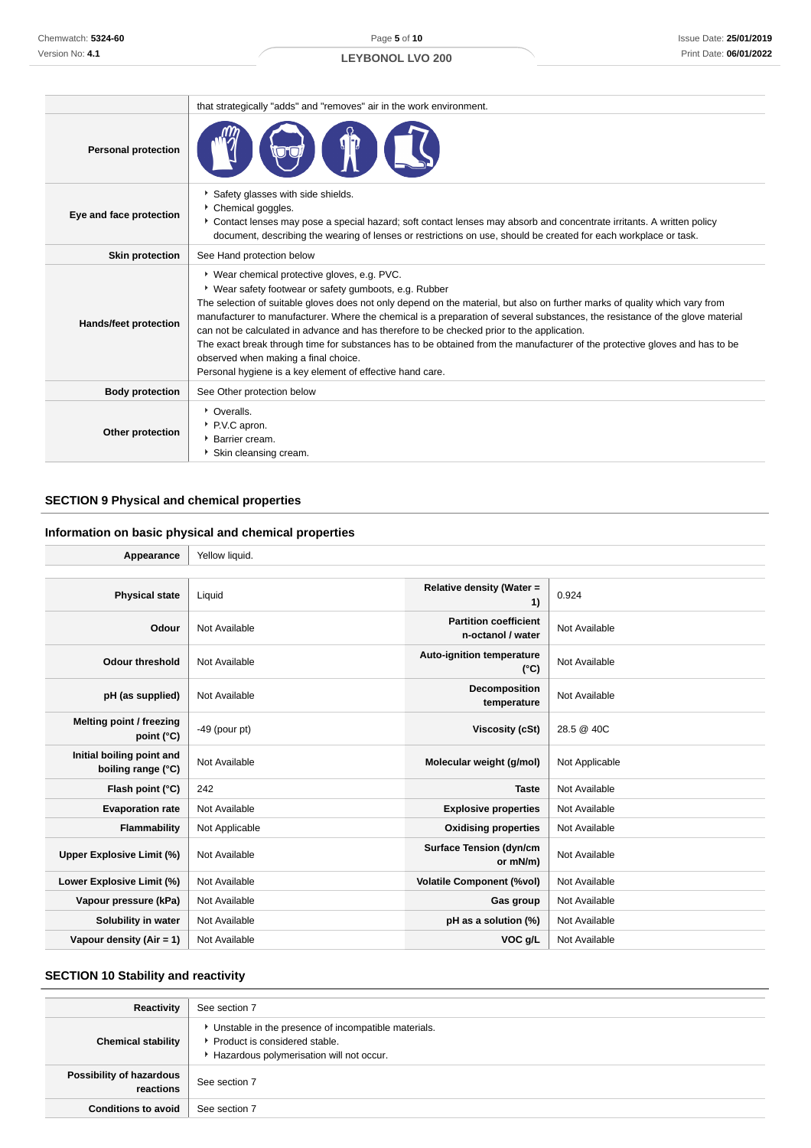Page **5** of **10**

## **LEYBONOL LVO 200**

|                            | that strategically "adds" and "removes" air in the work environment.                                                                                                                                                                                                                                                                                                                                                                                                                                                                                                                                                                                                                                     |  |  |
|----------------------------|----------------------------------------------------------------------------------------------------------------------------------------------------------------------------------------------------------------------------------------------------------------------------------------------------------------------------------------------------------------------------------------------------------------------------------------------------------------------------------------------------------------------------------------------------------------------------------------------------------------------------------------------------------------------------------------------------------|--|--|
| <b>Personal protection</b> |                                                                                                                                                                                                                                                                                                                                                                                                                                                                                                                                                                                                                                                                                                          |  |  |
| Eye and face protection    | Safety glasses with side shields.<br>Chemical goggles.<br>Contact lenses may pose a special hazard; soft contact lenses may absorb and concentrate irritants. A written policy<br>document, describing the wearing of lenses or restrictions on use, should be created for each workplace or task.                                                                                                                                                                                                                                                                                                                                                                                                       |  |  |
| <b>Skin protection</b>     | See Hand protection below                                                                                                                                                                                                                                                                                                                                                                                                                                                                                                                                                                                                                                                                                |  |  |
| Hands/feet protection      | * Wear chemical protective gloves, e.g. PVC.<br>• Wear safety footwear or safety gumboots, e.g. Rubber<br>The selection of suitable gloves does not only depend on the material, but also on further marks of quality which vary from<br>manufacturer to manufacturer. Where the chemical is a preparation of several substances, the resistance of the glove material<br>can not be calculated in advance and has therefore to be checked prior to the application.<br>The exact break through time for substances has to be obtained from the manufacturer of the protective gloves and has to be<br>observed when making a final choice.<br>Personal hygiene is a key element of effective hand care. |  |  |
| <b>Body protection</b>     | See Other protection below                                                                                                                                                                                                                                                                                                                                                                                                                                                                                                                                                                                                                                                                               |  |  |
| Other protection           | • Overalls.<br>P.V.C apron.<br><b>Barrier cream.</b><br>Skin cleansing cream.                                                                                                                                                                                                                                                                                                                                                                                                                                                                                                                                                                                                                            |  |  |

## **SECTION 9 Physical and chemical properties**

## **Information on basic physical and chemical properties**

| Appearance                                      | Yellow liquid.  |                                                   |                |
|-------------------------------------------------|-----------------|---------------------------------------------------|----------------|
|                                                 |                 |                                                   |                |
| <b>Physical state</b>                           | Liquid          | Relative density (Water =<br>1)                   | 0.924          |
| Odour                                           | Not Available   | <b>Partition coefficient</b><br>n-octanol / water | Not Available  |
| <b>Odour threshold</b>                          | Not Available   | Auto-ignition temperature<br>$(^{\circ}C)$        | Not Available  |
| pH (as supplied)                                | Not Available   | Decomposition<br>temperature                      | Not Available  |
| Melting point / freezing<br>point (°C)          | $-49$ (pour pt) | Viscosity (cSt)                                   | 28.5 @ 40C     |
| Initial boiling point and<br>boiling range (°C) | Not Available   | Molecular weight (g/mol)                          | Not Applicable |
| Flash point (°C)                                | 242             | <b>Taste</b>                                      | Not Available  |
| <b>Evaporation rate</b>                         | Not Available   | <b>Explosive properties</b>                       | Not Available  |
| <b>Flammability</b>                             | Not Applicable  | <b>Oxidising properties</b>                       | Not Available  |
| <b>Upper Explosive Limit (%)</b>                | Not Available   | <b>Surface Tension (dyn/cm</b><br>or mN/m)        | Not Available  |
| Lower Explosive Limit (%)                       | Not Available   | <b>Volatile Component (%vol)</b>                  | Not Available  |
| Vapour pressure (kPa)                           | Not Available   | Gas group                                         | Not Available  |
| Solubility in water                             | Not Available   | pH as a solution (%)                              | Not Available  |
| Vapour density (Air = 1)                        | Not Available   | VOC g/L                                           | Not Available  |

## **SECTION 10 Stability and reactivity**

| Reactivity                            | See section 7                                                                                                                        |
|---------------------------------------|--------------------------------------------------------------------------------------------------------------------------------------|
| <b>Chemical stability</b>             | • Unstable in the presence of incompatible materials.<br>▶ Product is considered stable.<br>Hazardous polymerisation will not occur. |
| Possibility of hazardous<br>reactions | See section 7                                                                                                                        |
| <b>Conditions to avoid</b>            | See section 7                                                                                                                        |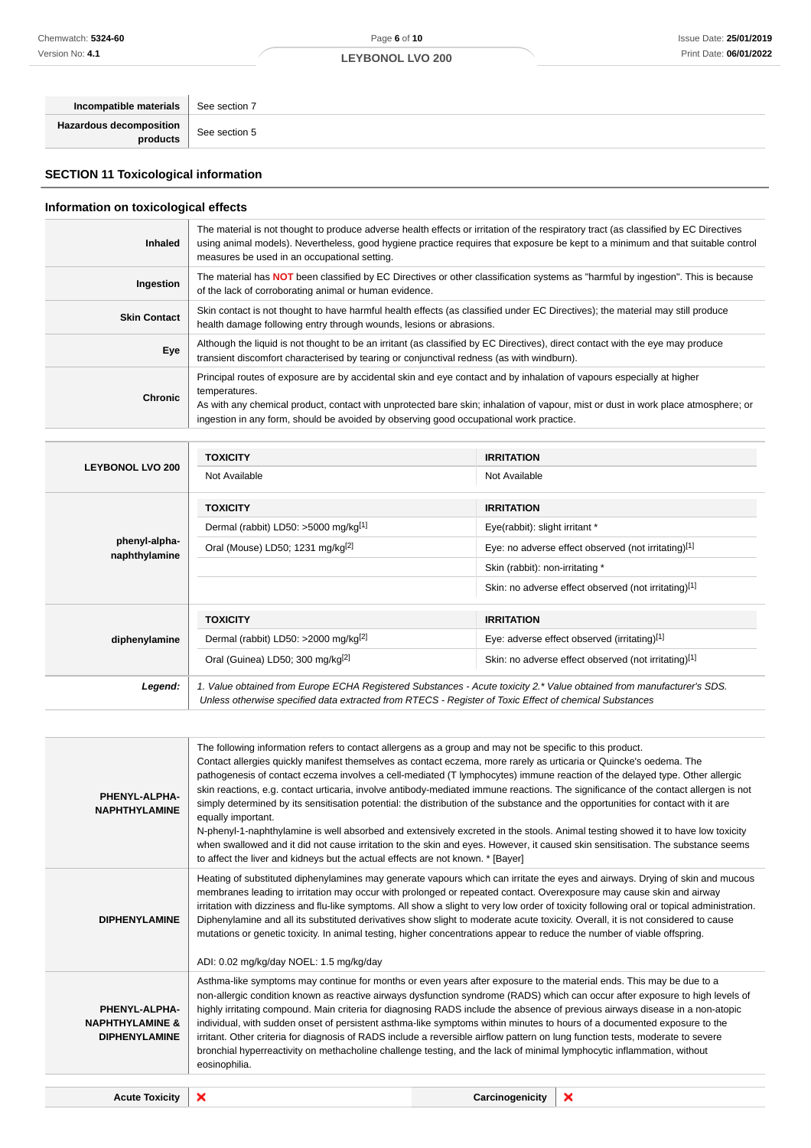# Page **6** of **10**

**LEYBONOL LVO 200**

| Incompatible materials   See section 7 |               |
|----------------------------------------|---------------|
| Hazardous decomposition<br>products    | See section 5 |
|                                        |               |

# **SECTION 11 Toxicological information**

## **Information on toxicological effects**

| <b>Inhaled</b>      | The material is not thought to produce adverse health effects or irritation of the respiratory tract (as classified by EC Directives<br>using animal models). Nevertheless, good hygiene practice requires that exposure be kept to a minimum and that suitable control<br>measures be used in an occupational setting.                                               |
|---------------------|-----------------------------------------------------------------------------------------------------------------------------------------------------------------------------------------------------------------------------------------------------------------------------------------------------------------------------------------------------------------------|
| Ingestion           | The material has NOT been classified by EC Directives or other classification systems as "harmful by ingestion". This is because<br>of the lack of corroborating animal or human evidence.                                                                                                                                                                            |
| <b>Skin Contact</b> | Skin contact is not thought to have harmful health effects (as classified under EC Directives); the material may still produce<br>health damage following entry through wounds, lesions or abrasions.                                                                                                                                                                 |
| Eye                 | Although the liquid is not thought to be an irritant (as classified by EC Directives), direct contact with the eye may produce<br>transient discomfort characterised by tearing or conjunctival redness (as with windburn).                                                                                                                                           |
| <b>Chronic</b>      | Principal routes of exposure are by accidental skin and eye contact and by inhalation of vapours especially at higher<br>temperatures.<br>As with any chemical product, contact with unprotected bare skin; inhalation of vapour, mist or dust in work place atmosphere; or<br>ingestion in any form, should be avoided by observing good occupational work practice. |

|                                | <b>TOXICITY</b>                                  | <b>IRRITATION</b>                                                                                                                                                                                                               |  |
|--------------------------------|--------------------------------------------------|---------------------------------------------------------------------------------------------------------------------------------------------------------------------------------------------------------------------------------|--|
| <b>LEYBONOL LVO 200</b>        | Not Available                                    | Not Available                                                                                                                                                                                                                   |  |
|                                | <b>TOXICITY</b>                                  | <b>IRRITATION</b>                                                                                                                                                                                                               |  |
|                                | Dermal (rabbit) LD50: >5000 mg/kg[1]             | Eye(rabbit): slight irritant *                                                                                                                                                                                                  |  |
| phenyl-alpha-<br>naphthylamine | Oral (Mouse) LD50; 1231 mg/kg <sup>[2]</sup>     | Eye: no adverse effect observed (not irritating)[1]                                                                                                                                                                             |  |
|                                |                                                  | Skin (rabbit): non-irritating *                                                                                                                                                                                                 |  |
|                                |                                                  | Skin: no adverse effect observed (not irritating)[1]                                                                                                                                                                            |  |
|                                | <b>TOXICITY</b>                                  | <b>IRRITATION</b>                                                                                                                                                                                                               |  |
| diphenylamine                  | Dermal (rabbit) LD50: >2000 mg/kg <sup>[2]</sup> | Eye: adverse effect observed (irritating)[1]                                                                                                                                                                                    |  |
|                                | Oral (Guinea) LD50; 300 mg/kg <sup>[2]</sup>     | Skin: no adverse effect observed (not irritating)[1]                                                                                                                                                                            |  |
| Legend:                        |                                                  | 1. Value obtained from Europe ECHA Registered Substances - Acute toxicity 2.* Value obtained from manufacturer's SDS.<br>Unless otherwise specified data extracted from RTECS - Register of Toxic Effect of chemical Substances |  |

| Asthma-like symptoms may continue for months or even years after exposure to the material ends. This may be due to a                                                                                                                                                                                                                                                                                                                                                                                                                                                                                                                                                                                                                                                                                                                                                                                                                 |
|--------------------------------------------------------------------------------------------------------------------------------------------------------------------------------------------------------------------------------------------------------------------------------------------------------------------------------------------------------------------------------------------------------------------------------------------------------------------------------------------------------------------------------------------------------------------------------------------------------------------------------------------------------------------------------------------------------------------------------------------------------------------------------------------------------------------------------------------------------------------------------------------------------------------------------------|
| non-allergic condition known as reactive airways dysfunction syndrome (RADS) which can occur after exposure to high levels of<br>highly irritating compound. Main criteria for diagnosing RADS include the absence of previous airways disease in a non-atopic<br>individual, with sudden onset of persistent asthma-like symptoms within minutes to hours of a documented exposure to the<br>irritant. Other criteria for diagnosis of RADS include a reversible airflow pattern on lung function tests, moderate to severe<br>bronchial hyperreactivity on methacholine challenge testing, and the lack of minimal lymphocytic inflammation, without<br>eosinophilia.                                                                                                                                                                                                                                                              |
|                                                                                                                                                                                                                                                                                                                                                                                                                                                                                                                                                                                                                                                                                                                                                                                                                                                                                                                                      |
| when swallowed and it did not cause irritation to the skin and eyes. However, it caused skin sensitisation. The substance seems<br>to affect the liver and kidneys but the actual effects are not known. * [Bayer]<br>Heating of substituted diphenylamines may generate vapours which can irritate the eyes and airways. Drying of skin and mucous<br>membranes leading to irritation may occur with prolonged or repeated contact. Overexposure may cause skin and airway<br>irritation with dizziness and flu-like symptoms. All show a slight to very low order of toxicity following oral or topical administration.<br>Diphenylamine and all its substituted derivatives show slight to moderate acute toxicity. Overall, it is not considered to cause<br>mutations or genetic toxicity. In animal testing, higher concentrations appear to reduce the number of viable offspring.<br>ADI: 0.02 mg/kg/day NOEL: 1.5 mg/kg/day |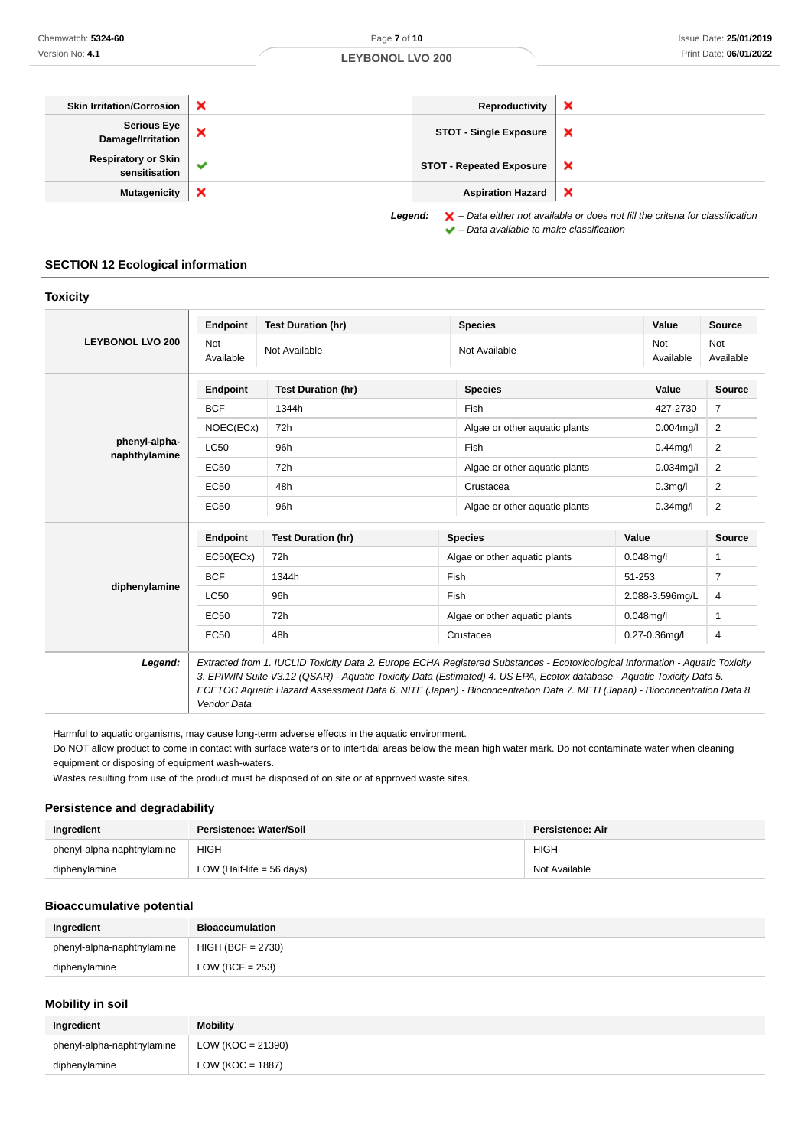| <b>Skin Irritation/Corrosion</b>     | × | Reproductivity                  | ×                                                                                                  |
|--------------------------------------|---|---------------------------------|----------------------------------------------------------------------------------------------------|
| Serious Eye<br>Damage/Irritation     |   | <b>STOT - Single Exposure</b>   | ×                                                                                                  |
| Respiratory or Skin<br>sensitisation |   | <b>STOT - Repeated Exposure</b> | ×                                                                                                  |
| <b>Mutagenicity</b>                  | × | <b>Aspiration Hazard</b>        | $\boldsymbol{\mathsf{x}}$                                                                          |
|                                      |   | Legend:                         | $\blacktriangleright$ - Data either not available or does not fill the criteria for classification |

## **SECTION 12 Ecological information**

| Chemwatch: 5324-60                                                                       |                             | Page 7 of 10                                                                                                                                                                                                                                                                                                                                                                        |         |                                                               |                                                                                                    |                 | <b>Issue Date: 25/01/20</b> |
|------------------------------------------------------------------------------------------|-----------------------------|-------------------------------------------------------------------------------------------------------------------------------------------------------------------------------------------------------------------------------------------------------------------------------------------------------------------------------------------------------------------------------------|---------|---------------------------------------------------------------|----------------------------------------------------------------------------------------------------|-----------------|-----------------------------|
| Version No: 4.1                                                                          |                             | <b>LEYBONOL LVO 200</b>                                                                                                                                                                                                                                                                                                                                                             |         |                                                               |                                                                                                    |                 | Print Date: 06/01/20:       |
|                                                                                          |                             |                                                                                                                                                                                                                                                                                                                                                                                     |         |                                                               |                                                                                                    |                 |                             |
| <b>Skin Irritation/Corrosion</b>                                                         | ×                           |                                                                                                                                                                                                                                                                                                                                                                                     |         | Reproductivity                                                | ×                                                                                                  |                 |                             |
| <b>Serious Eye</b><br>Damage/Irritation                                                  | ×                           |                                                                                                                                                                                                                                                                                                                                                                                     |         | ×<br><b>STOT - Single Exposure</b>                            |                                                                                                    |                 |                             |
| <b>Respiratory or Skin</b><br>sensitisation                                              | ✔                           |                                                                                                                                                                                                                                                                                                                                                                                     |         | <b>STOT - Repeated Exposure</b>                               | ×                                                                                                  |                 |                             |
| <b>Mutagenicity</b>                                                                      | ×                           |                                                                                                                                                                                                                                                                                                                                                                                     |         | <b>Aspiration Hazard</b>                                      | ×                                                                                                  |                 |                             |
| <b>SECTION 12 Ecological information</b>                                                 |                             |                                                                                                                                                                                                                                                                                                                                                                                     | Legend: | $\blacktriangleright$ - Data available to make classification | $\blacktriangleright$ - Data either not available or does not fill the criteria for classification |                 |                             |
| <b>Toxicity</b>                                                                          |                             |                                                                                                                                                                                                                                                                                                                                                                                     |         |                                                               |                                                                                                    |                 |                             |
|                                                                                          | <b>Endpoint</b>             | <b>Test Duration (hr)</b>                                                                                                                                                                                                                                                                                                                                                           |         | <b>Species</b>                                                |                                                                                                    | Value           | <b>Source</b>               |
| <b>LEYBONOL LVO 200</b>                                                                  | Not                         |                                                                                                                                                                                                                                                                                                                                                                                     |         |                                                               |                                                                                                    | Not             | Not                         |
|                                                                                          | Available                   | Not Available                                                                                                                                                                                                                                                                                                                                                                       |         | Not Available                                                 |                                                                                                    | Available       | Available                   |
|                                                                                          | <b>Endpoint</b>             | <b>Test Duration (hr)</b>                                                                                                                                                                                                                                                                                                                                                           |         | <b>Species</b>                                                |                                                                                                    | Value           | <b>Source</b>               |
|                                                                                          | <b>BCF</b>                  | 1344h                                                                                                                                                                                                                                                                                                                                                                               |         | Fish                                                          |                                                                                                    | 427-2730        | 7                           |
|                                                                                          | NOEC(ECx)                   | 72h                                                                                                                                                                                                                                                                                                                                                                                 |         | Algae or other aquatic plants                                 |                                                                                                    | $0.004$ mg/l    | 2                           |
| phenyl-alpha-<br>naphthylamine                                                           | LC50                        | 96h                                                                                                                                                                                                                                                                                                                                                                                 |         | Fish                                                          |                                                                                                    | $0.44$ mg/l     | 2                           |
|                                                                                          | <b>EC50</b>                 | 72h                                                                                                                                                                                                                                                                                                                                                                                 |         | Algae or other aquatic plants                                 |                                                                                                    | $0.034$ mg/l    | 2                           |
|                                                                                          | EC50                        | 48h                                                                                                                                                                                                                                                                                                                                                                                 |         | Crustacea                                                     |                                                                                                    | $0.3$ mg/l      | 2                           |
|                                                                                          | EC50                        | 96h                                                                                                                                                                                                                                                                                                                                                                                 |         | Algae or other aquatic plants                                 |                                                                                                    | $0.34$ mg/l     | $\overline{c}$              |
|                                                                                          | <b>Endpoint</b>             | <b>Test Duration (hr)</b>                                                                                                                                                                                                                                                                                                                                                           |         | <b>Species</b>                                                | Value                                                                                              |                 | <b>Source</b>               |
|                                                                                          | EC50(ECx)                   | 72h                                                                                                                                                                                                                                                                                                                                                                                 |         | Algae or other aquatic plants                                 |                                                                                                    | $0.048$ mg/l    | 1                           |
| diphenylamine                                                                            | <b>BCF</b>                  | 1344h                                                                                                                                                                                                                                                                                                                                                                               |         | Fish                                                          |                                                                                                    | 51-253          | 7                           |
|                                                                                          | LC50                        | 96h                                                                                                                                                                                                                                                                                                                                                                                 |         | Fish                                                          |                                                                                                    | 2.088-3.596mg/L | 4                           |
|                                                                                          | <b>EC50</b>                 | 72h                                                                                                                                                                                                                                                                                                                                                                                 |         | Algae or other aquatic plants                                 |                                                                                                    | $0.048$ mg/l    | 1                           |
|                                                                                          | <b>EC50</b>                 | 48h                                                                                                                                                                                                                                                                                                                                                                                 |         | Crustacea                                                     |                                                                                                    | 0.27-0.36mg/l   | 4                           |
| Legend:                                                                                  | Vendor Data                 | Extracted from 1. IUCLID Toxicity Data 2. Europe ECHA Registered Substances - Ecotoxicological Information - Aquatic Toxicity<br>3. EPIWIN Suite V3.12 (QSAR) - Aquatic Toxicity Data (Estimated) 4. US EPA, Ecotox database - Aquatic Toxicity Data 5.<br>ECETOC Aquatic Hazard Assessment Data 6. NITE (Japan) - Bioconcentration Data 7. METI (Japan) - Bioconcentration Data 8. |         |                                                               |                                                                                                    |                 |                             |
| equipment or disposing of equipment wash-waters.<br><b>Persistence and degradability</b> |                             | Harmful to aquatic organisms, may cause long-term adverse effects in the aquatic environment.<br>Do NOT allow product to come in contact with surface waters or to intertidal areas below the mean high water mark. Do not contaminate water when cleaning<br>Wastes resulting from use of the product must be disposed of on site or at approved waste sites.                      |         |                                                               |                                                                                                    |                 |                             |
| Ingredient                                                                               | Persistence: Water/Soil     |                                                                                                                                                                                                                                                                                                                                                                                     |         |                                                               | Persistence: Air                                                                                   |                 |                             |
| phenyl-alpha-naphthylamine                                                               | <b>HIGH</b>                 |                                                                                                                                                                                                                                                                                                                                                                                     |         |                                                               | <b>HIGH</b>                                                                                        |                 |                             |
| diphenylamine                                                                            | LOW (Half-life $=$ 56 days) |                                                                                                                                                                                                                                                                                                                                                                                     |         |                                                               | Not Available                                                                                      |                 |                             |
| <b>Bioaccumulative potential</b>                                                         |                             |                                                                                                                                                                                                                                                                                                                                                                                     |         |                                                               |                                                                                                    |                 |                             |
| Ingredient                                                                               | <b>Bioaccumulation</b>      |                                                                                                                                                                                                                                                                                                                                                                                     |         |                                                               |                                                                                                    |                 |                             |
| phenyl-alpha-naphthylamine                                                               | $HIGH (BCF = 2730)$         |                                                                                                                                                                                                                                                                                                                                                                                     |         |                                                               |                                                                                                    |                 |                             |
| diphenylamine                                                                            | LOW (BCF = $253$ )          |                                                                                                                                                                                                                                                                                                                                                                                     |         |                                                               |                                                                                                    |                 |                             |
| <b>Mobility in soil</b>                                                                  |                             |                                                                                                                                                                                                                                                                                                                                                                                     |         |                                                               |                                                                                                    |                 |                             |
| Ingredient                                                                               | <b>Mobility</b>             |                                                                                                                                                                                                                                                                                                                                                                                     |         |                                                               |                                                                                                    |                 |                             |
| phenyl-alpha-naphthylamine                                                               | LOW ( $KOC = 21390$ )       |                                                                                                                                                                                                                                                                                                                                                                                     |         |                                                               |                                                                                                    |                 |                             |
| diphenylamine                                                                            | LOW ( $KOC = 1887$ )        |                                                                                                                                                                                                                                                                                                                                                                                     |         |                                                               |                                                                                                    |                 |                             |

## **Persistence and degradability**

| Ingredient                 | Persistence: Water/Soil   | <b>Persistence: Air</b> |
|----------------------------|---------------------------|-------------------------|
| phenyl-alpha-naphthylamine | <b>HIGH</b>               | <b>HIGH</b>             |
| diphenylamine              | LOW (Half-life = 56 days) | Not Available           |

#### **Bioaccumulative potential**

| Ingredient                 | <b>Bioaccumulation</b> |
|----------------------------|------------------------|
| phenyl-alpha-naphthylamine | $HIGH (BCF = 2730)$    |
| diphenylamine              | LOW (BCF = $253$ )     |

## **Mobility in soil**

| Ingredient                 | <b>Mobility</b>      |
|----------------------------|----------------------|
| phenyl-alpha-naphthylamine | LOW (KOC = 21390)    |
| diphenylamine              | LOW ( $KOC = 1887$ ) |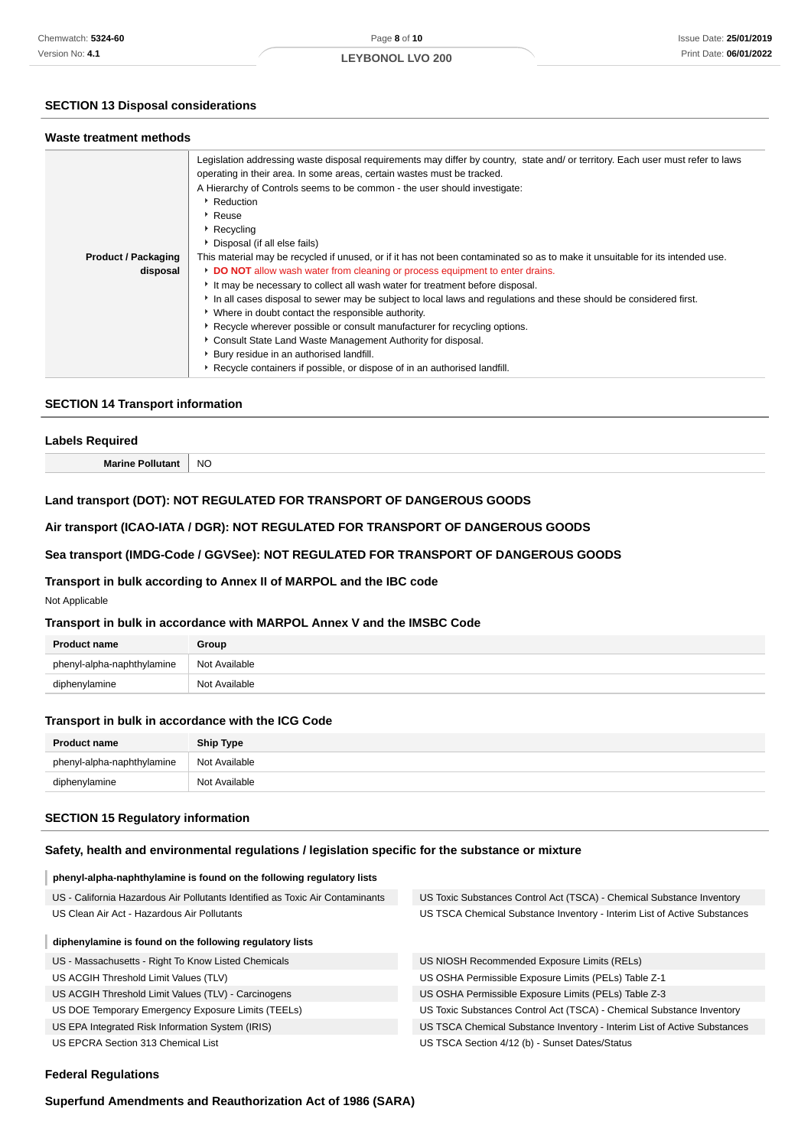## **LEYBONOL LVO 200**

#### **SECTION 13 Disposal considerations**

#### **Waste treatment methods**

|                            | Legislation addressing waste disposal requirements may differ by country, state and/ or territory. Each user must refer to laws<br>operating in their area. In some areas, certain wastes must be tracked. |
|----------------------------|------------------------------------------------------------------------------------------------------------------------------------------------------------------------------------------------------------|
|                            | A Hierarchy of Controls seems to be common - the user should investigate:                                                                                                                                  |
|                            |                                                                                                                                                                                                            |
|                            | Reduction                                                                                                                                                                                                  |
|                            | ▶ Reuse                                                                                                                                                                                                    |
|                            | ▶ Recycling                                                                                                                                                                                                |
|                            | ▶ Disposal (if all else fails)                                                                                                                                                                             |
| <b>Product / Packaging</b> | This material may be recycled if unused, or if it has not been contaminated so as to make it unsuitable for its intended use.                                                                              |
| disposal                   | DO NOT allow wash water from cleaning or process equipment to enter drains.                                                                                                                                |
|                            | It may be necessary to collect all wash water for treatment before disposal.                                                                                                                               |
|                            | In all cases disposal to sewer may be subject to local laws and regulations and these should be considered first.                                                                                          |
|                            | • Where in doubt contact the responsible authority.                                                                                                                                                        |
|                            | ▶ Recycle wherever possible or consult manufacturer for recycling options.                                                                                                                                 |
|                            | Consult State Land Waste Management Authority for disposal.                                                                                                                                                |
|                            | • Bury residue in an authorised landfill.                                                                                                                                                                  |
|                            | Recycle containers if possible, or dispose of in an authorised landfill.                                                                                                                                   |

#### **SECTION 14 Transport information**

# **Labels Required Marine Pollutant** | NO

## **Land transport (DOT): NOT REGULATED FOR TRANSPORT OF DANGEROUS GOODS**

#### **Air transport (ICAO-IATA / DGR): NOT REGULATED FOR TRANSPORT OF DANGEROUS GOODS**

#### **Sea transport (IMDG-Code / GGVSee): NOT REGULATED FOR TRANSPORT OF DANGEROUS GOODS**

#### **Transport in bulk according to Annex II of MARPOL and the IBC code**

Not Applicable

#### **Transport in bulk in accordance with MARPOL Annex V and the IMSBC Code**

| <b>Product name</b>        | Group         |
|----------------------------|---------------|
| phenyl-alpha-naphthylamine | Not Available |
| diphenylamine              | Not Available |

#### **Transport in bulk in accordance with the ICG Code**

| <b>Product name</b>        | <b>Ship Type</b> |
|----------------------------|------------------|
| phenyl-alpha-naphthylamine | Not Available    |
| diphenylamine              | Not Available    |

#### **SECTION 15 Regulatory information**

## **Safety, health and environmental regulations / legislation specific for the substance or mixture**

#### **phenyl-alpha-naphthylamine is found on the following regulatory lists**

| US - California Hazardous Air Pollutants Identified as Toxic Air Contaminants | US Toxic Substances Control Act (TSCA) - Chemical Substance Inventory    |
|-------------------------------------------------------------------------------|--------------------------------------------------------------------------|
| US Clean Air Act - Hazardous Air Pollutants                                   | US TSCA Chemical Substance Inventory - Interim List of Active Substances |
| diphenylamine is found on the following regulatory lists                      |                                                                          |
|                                                                               |                                                                          |

| US - Massachusetts - Right To Know Listed Chemicals |  |
|-----------------------------------------------------|--|
|-----------------------------------------------------|--|

- US ACGIH Threshold Limit Values (TLV)
- US ACGIH Threshold Limit Values (TLV) Carcinogens
- US DOE Temporary Emergency Exposure Limits (TEELs)

US EPA Integrated Risk Information System (IRIS)

US EPCRA Section 313 Chemical List

US NIOSH Recommended Exposure Limits (RELs)

- US OSHA Permissible Exposure Limits (PELs) Table Z-1
- US OSHA Permissible Exposure Limits (PELs) Table Z-3
- US Toxic Substances Control Act (TSCA) Chemical Substance Inventory
- US TSCA Chemical Substance Inventory Interim List of Active Substances
- US TSCA Section 4/12 (b) Sunset Dates/Status

#### **Federal Regulations**

**Superfund Amendments and Reauthorization Act of 1986 (SARA)**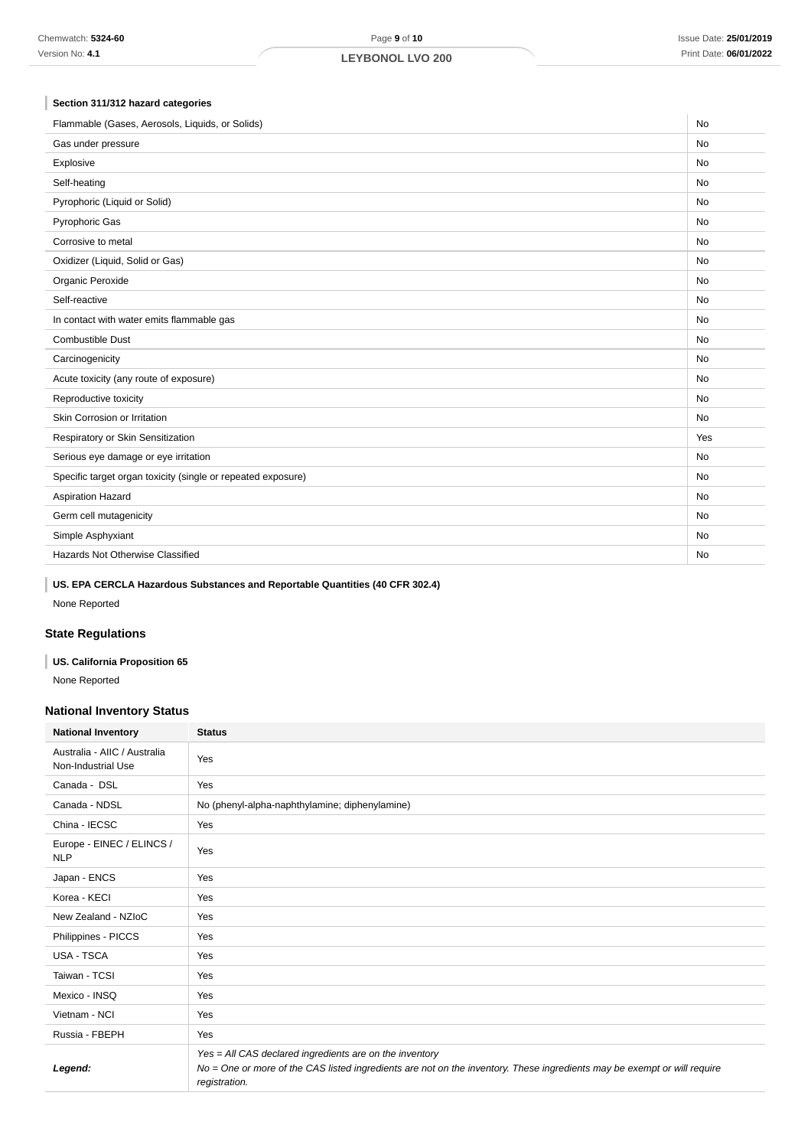## **Section 311/312 hazard categories**

| Flammable (Gases, Aerosols, Liquids, or Solids)              |           |
|--------------------------------------------------------------|-----------|
| Gas under pressure                                           | <b>No</b> |
| Explosive                                                    | <b>No</b> |
| Self-heating                                                 | <b>No</b> |
| Pyrophoric (Liquid or Solid)                                 | <b>No</b> |
| Pyrophoric Gas                                               | No        |
| Corrosive to metal                                           | <b>No</b> |
| Oxidizer (Liquid, Solid or Gas)                              | No        |
| Organic Peroxide                                             | <b>No</b> |
| Self-reactive                                                | <b>No</b> |
| In contact with water emits flammable gas                    | <b>No</b> |
| <b>Combustible Dust</b>                                      | <b>No</b> |
| Carcinogenicity                                              | No        |
| Acute toxicity (any route of exposure)                       | No        |
| Reproductive toxicity                                        | <b>No</b> |
| Skin Corrosion or Irritation                                 | <b>No</b> |
| Respiratory or Skin Sensitization                            | Yes       |
| Serious eye damage or eye irritation                         | <b>No</b> |
| Specific target organ toxicity (single or repeated exposure) | <b>No</b> |
| Aspiration Hazard                                            | <b>No</b> |
| Germ cell mutagenicity                                       | <b>No</b> |
| Simple Asphyxiant                                            | <b>No</b> |
| Hazards Not Otherwise Classified                             | No        |
|                                                              |           |

## **US. EPA CERCLA Hazardous Substances and Reportable Quantities (40 CFR 302.4)**

None Reported

## **State Regulations**

## **US. California Proposition 65** None Reported

## **National Inventory Status**

| <b>National Inventory</b>                          | <b>Status</b>                                                                                                                                                                                        |  |  |
|----------------------------------------------------|------------------------------------------------------------------------------------------------------------------------------------------------------------------------------------------------------|--|--|
| Australia - AIIC / Australia<br>Non-Industrial Use | Yes                                                                                                                                                                                                  |  |  |
| Canada - DSL                                       | Yes                                                                                                                                                                                                  |  |  |
| Canada - NDSL                                      | No (phenyl-alpha-naphthylamine; diphenylamine)                                                                                                                                                       |  |  |
| China - IECSC                                      | Yes                                                                                                                                                                                                  |  |  |
| Europe - EINEC / ELINCS /<br><b>NLP</b>            | Yes                                                                                                                                                                                                  |  |  |
| Japan - ENCS                                       | Yes                                                                                                                                                                                                  |  |  |
| Korea - KECI                                       | Yes                                                                                                                                                                                                  |  |  |
| New Zealand - NZIoC                                | Yes                                                                                                                                                                                                  |  |  |
| Philippines - PICCS                                | Yes                                                                                                                                                                                                  |  |  |
| <b>USA - TSCA</b>                                  | Yes                                                                                                                                                                                                  |  |  |
| Taiwan - TCSI                                      | Yes                                                                                                                                                                                                  |  |  |
| Mexico - INSQ                                      | Yes                                                                                                                                                                                                  |  |  |
| Vietnam - NCI                                      | Yes                                                                                                                                                                                                  |  |  |
| Russia - FBEPH                                     | Yes                                                                                                                                                                                                  |  |  |
| Legend:                                            | Yes = All CAS declared ingredients are on the inventory<br>No = One or more of the CAS listed ingredients are not on the inventory. These ingredients may be exempt or will require<br>registration. |  |  |